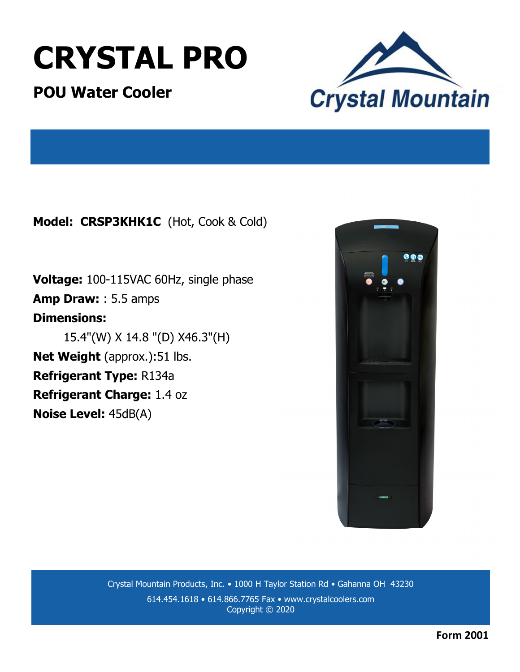# **CRYSTAL PRO**

**POU Water Cooler**



**Model: CRSP3KHK1C** (Hot, Cook & Cold)

**Voltage:** 100-115VAC 60Hz, single phase **Amp Draw:** : 5.5 amps **Dimensions:**  15.4"(W) X 14.8 "(D) X46.3"(H) **Net Weight** (approx.):51 lbs. **Refrigerant Type:** R134a **Refrigerant Charge:** 1.4 oz **Noise Level:** 45dB(A)



Crystal Mountain Products, Inc. • 1000 H Taylor Station Rd • Gahanna OH 43230 614.454.1618 • 614.866.7765 Fax • www.crystalcoolers.com Copyright © 2020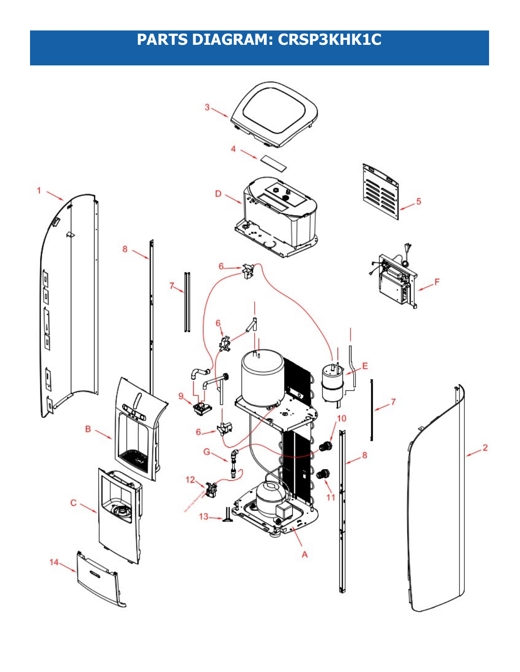## **PARTS DIAGRAM: CRSP3KHK1C**

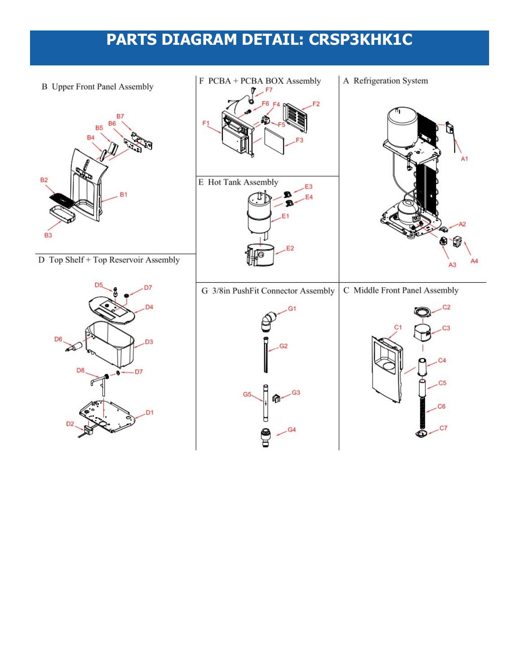### PARTS DIAGRAM DETAIL: CRSP3KHK1C

**B** Upper Front Panel Assembly



D Top Shelf + Top Reservoir Assembly



- F PCBA + PCBA BOX Assembly  $F7$ F<sub>6</sub>  $F2$ E Hot Tank Assembly E<sub>3</sub> T E4  $E1$ E<sub>2</sub>
- A Refrigeration System



G 3/8in PushFit Connector Assembly C Middle Front Panel Assembly



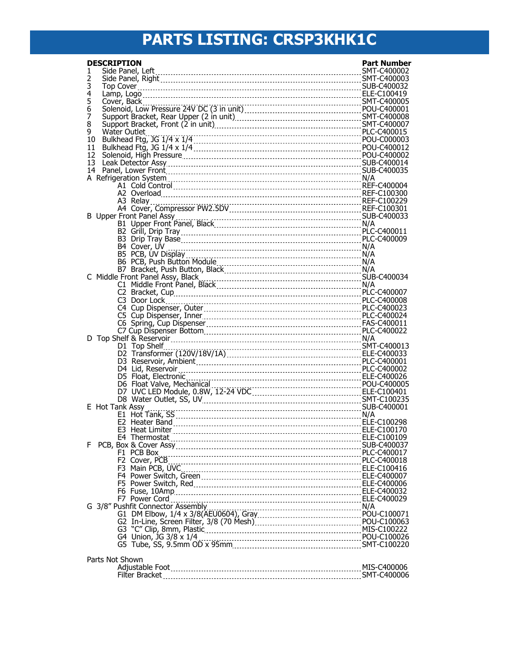## **PARTS LISTING: CRSP3KHK1C**

| <b>DESCRIPTION</b>              | <b>Part Number</b> |
|---------------------------------|--------------------|
| 1                               |                    |
| 2                               |                    |
| 3<br>4                          |                    |
| 5                               |                    |
| 6                               |                    |
| 7                               |                    |
| 8                               |                    |
| 9                               |                    |
| 10<br>11                        |                    |
| 12                              |                    |
| 13                              |                    |
| 14                              |                    |
|                                 |                    |
| A1 Cold Control 2000004 2000004 |                    |
|                                 |                    |
|                                 |                    |
|                                 |                    |
|                                 |                    |
|                                 |                    |
|                                 |                    |
|                                 |                    |
|                                 |                    |
|                                 |                    |
|                                 |                    |
|                                 |                    |
|                                 |                    |
|                                 |                    |
|                                 |                    |
|                                 |                    |
|                                 |                    |
|                                 |                    |
|                                 |                    |
|                                 |                    |
|                                 |                    |
|                                 |                    |
|                                 |                    |
|                                 |                    |
|                                 |                    |
| E Hot Tank Assy                 |                    |
|                                 |                    |
|                                 |                    |
|                                 |                    |
| F.                              |                    |
|                                 |                    |
|                                 |                    |
|                                 |                    |
|                                 |                    |
|                                 |                    |
|                                 |                    |
|                                 |                    |
|                                 |                    |
|                                 |                    |
|                                 |                    |
|                                 |                    |
|                                 |                    |
| Parts Not Shown                 |                    |
|                                 |                    |
|                                 |                    |